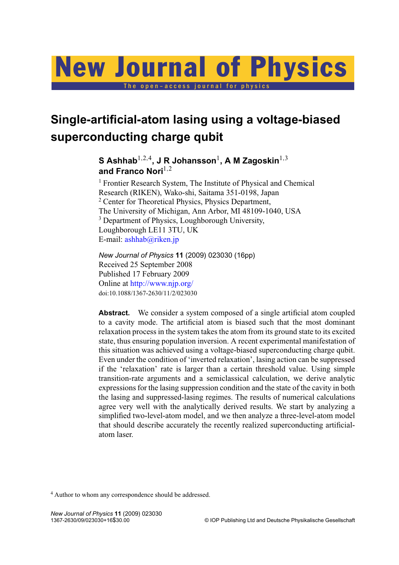# The open-access journal for physics New Journal of Physics

**Single-artificial-atom lasing using a voltage-biased superconducting charge qubit**

> ${\mathbf S}$  Ashhab $^{1,2,4}$ , J R Johansson $^1$ , A M Zagoskin $^{1,3}$ and Franco Nori<sup>1,2</sup>

<sup>1</sup> Frontier Research System, The Institute of Physical and Chemical Research (RIKEN), Wako-shi, Saitama 351-0198, Japan <sup>2</sup> Center for Theoretical Physics, Physics Department, The University of Michigan, Ann Arbor, MI 48109-1040, USA <sup>3</sup> Department of Physics, Loughborough University, Loughborough LE11 3TU, UK E-mail: [ashhab@riken.jp](mailto:ashhab@riken.jp)

*New Journal of Physics* **11** (2009) 023030 (16pp) Received 25 September 2008 Published 17 February 2009 Online at <http://www.njp.org/> doi:10.1088/1367-2630/11/2/023030

Abstract. We consider a system composed of a single artificial atom coupled to a cavity mode. The artificial atom is biased such that the most dominant relaxation process in the system takes the atom from its ground state to its excited state, thus ensuring population inversion. A recent experimental manifestation of this situation was achieved using a voltage-biased superconducting charge qubit. Even under the condition of 'inverted relaxation', lasing action can be suppressed if the 'relaxation' rate is larger than a certain threshold value. Using simple transition-rate arguments and a semiclassical calculation, we derive analytic expressions for the lasing suppression condition and the state of the cavity in both the lasing and suppressed-lasing regimes. The results of numerical calculations agree very well with the analytically derived results. We start by analyzing a simplified two-level-atom model, and we then analyze a three-level-atom model that should describe accurately the recently realized superconducting artificialatom laser.

<sup>4</sup> Author to whom any correspondence should be addressed.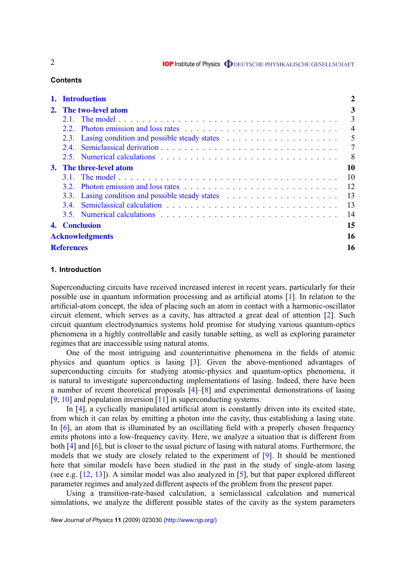# **Contents**

|                                | <b>Introduction</b>    |                                                                                                                                                                                                                                |    | 2              |
|--------------------------------|------------------------|--------------------------------------------------------------------------------------------------------------------------------------------------------------------------------------------------------------------------------|----|----------------|
|                                | 2. The two-level atom  |                                                                                                                                                                                                                                |    | 3              |
|                                |                        |                                                                                                                                                                                                                                |    | 3              |
|                                | 2.2                    |                                                                                                                                                                                                                                |    | $\overline{4}$ |
|                                |                        |                                                                                                                                                                                                                                |    | 5              |
|                                | 2.4                    |                                                                                                                                                                                                                                |    | 7              |
|                                |                        |                                                                                                                                                                                                                                |    | -8             |
| <b>3.</b> The three-level atom |                        |                                                                                                                                                                                                                                |    | 10             |
|                                |                        |                                                                                                                                                                                                                                |    | 10             |
|                                |                        |                                                                                                                                                                                                                                |    | 12             |
|                                |                        |                                                                                                                                                                                                                                |    | 13             |
|                                | 3.4.                   |                                                                                                                                                                                                                                |    | 13             |
|                                |                        | 3.5. Numerical calculations enterstated in the set of the set of the set of the set of the set of the set of the set of the set of the set of the set of the set of the set of the set of the set of the set of the set of the |    | 14             |
|                                | 4. Conclusion          |                                                                                                                                                                                                                                | 15 |                |
|                                | <b>Acknowledgments</b> |                                                                                                                                                                                                                                |    |                |
| <b>References</b>              |                        |                                                                                                                                                                                                                                |    | 16             |

# **1. Introduction**

Superconducting circuits have received increased interest in recent years, particularly for their possible use in quantum information processing and as artificial atoms [\[1\]](#page-15-0). In relation to the artificial-atom concept, the idea of placing such an atom in contact with a harmonic-oscillator circuit element, which serves as a cavity, has attracted a great deal of attention [\[2\]](#page-15-0). Such circuit quantum electrodynamics systems hold promise for studying various quantum-optics phenomena in a highly controllable and easily tunable setting, as well as exploring parameter regimes that are inaccessible using natural atoms.

One of the most intriguing and counterintuitive phenomena in the fields of atomic physics and quantum optics is lasing [\[3\]](#page-15-0). Given the above-mentioned advantages of superconducting circuits for studying atomic-physics and quantum-optics phenomena, it is natural to investigate superconducting implementations of lasing. Indeed, there have been a number of recent theoretical proposals [\[4\]](#page-15-0)–[\[8\]](#page-15-0) and experimental demonstrations of lasing [\[9,](#page-15-0) [10\]](#page-15-0) and population inversion [\[11\]](#page-15-0) in superconducting systems.

In [\[4\]](#page-15-0), a cyclically manipulated artificial atom is constantly driven into its excited state, from which it can relax by emitting a photon into the cavity, thus establishing a lasing state. In [\[6\]](#page-15-0), an atom that is illuminated by an oscillating field with a properly chosen frequency emits photons into a low-frequency cavity. Here, we analyze a situation that is different from both [\[4\]](#page-15-0) and [\[6\]](#page-15-0), but is closer to the usual picture of lasing with natural atoms. Furthermore, the models that we study are closely related to the experiment of [\[9\]](#page-15-0). It should be mentioned here that similar models have been studied in the past in the study of single-atom lasing (see e.g. [\[12,](#page-15-0) [13\]](#page-15-0)). A similar model was also analyzed in [\[5\]](#page-15-0), but that paper explored different parameter regimes and analyzed different aspects of the problem from the present paper.

Using a transition-rate-based calculation, a semiclassical calculation and numerical simulations, we analyze the different possible states of the cavity as the system parameters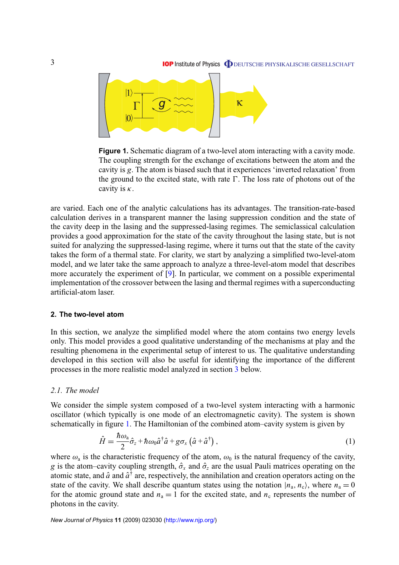<span id="page-2-0"></span>

**Figure 1.** Schematic diagram of a two-level atom interacting with a cavity mode. The coupling strength for the exchange of excitations between the atom and the cavity is *g*. The atom is biased such that it experiences 'inverted relaxation' from the ground to the excited state, with rate  $\Gamma$ . The loss rate of photons out of the cavity is  $\kappa$ .

are varied. Each one of the analytic calculations has its advantages. The transition-rate-based calculation derives in a transparent manner the lasing suppression condition and the state of the cavity deep in the lasing and the suppressed-lasing regimes. The semiclassical calculation provides a good approximation for the state of the cavity throughout the lasing state, but is not suited for analyzing the suppressed-lasing regime, where it turns out that the state of the cavity takes the form of a thermal state. For clarity, we start by analyzing a simplified two-level-atom model, and we later take the same approach to analyze a three-level-atom model that describes more accurately the experiment of [\[9\]](#page-15-0). In particular, we comment on a possible experimental implementation of the crossover between the lasing and thermal regimes with a superconducting artificial-atom laser.

#### **2. The two-level atom**

In this section, we analyze the simplified model where the atom contains two energy levels only. This model provides a good qualitative understanding of the mechanisms at play and the resulting phenomena in the experimental setup of interest to us. The qualitative understanding developed in this section will also be useful for identifying the importance of the different processes in the more realistic model analyzed in section [3](#page-8-0) below.

## *2.1. The model*

We consider the simple system composed of a two-level system interacting with a harmonic oscillator (which typically is one mode of an electromagnetic cavity). The system is shown schematically in figure 1. The Hamiltonian of the combined atom–cavity system is given by

$$
\hat{H} = \frac{\hbar \omega_a}{2} \hat{\sigma}_z + \hbar \omega_0 \hat{a}^\dagger \hat{a} + g \sigma_x \left( \hat{a} + \hat{a}^\dagger \right), \tag{1}
$$

where  $\omega_a$  is the characteristic frequency of the atom,  $\omega_0$  is the natural frequency of the cavity, *g* is the atom–cavity coupling strength,  $\hat{\sigma}_x$  and  $\hat{\sigma}_z$  are the usual Pauli matrices operating on the atomic state, and  $\hat{a}$  and  $\hat{a}^{\dagger}$  are, respectively, the annihilation and creation operators acting on the state of the cavity. We shall describe quantum states using the notation  $|n_a, n_c\rangle$ , where  $n_a = 0$ for the atomic ground state and  $n_a = 1$  for the excited state, and  $n_c$  represents the number of photons in the cavity.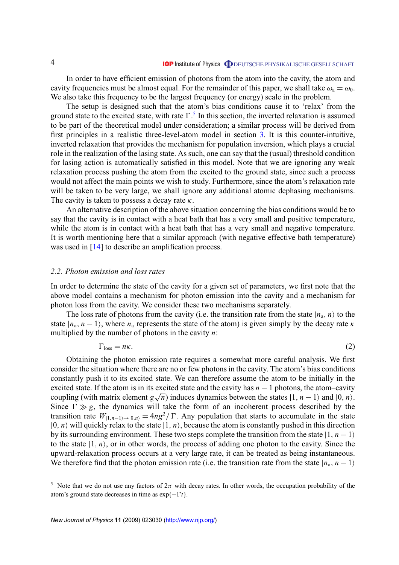<span id="page-3-0"></span>In order to have efficient emission of photons from the atom into the cavity, the atom and cavity frequencies must be almost equal. For the remainder of this paper, we shall take  $\omega_a = \omega_0$ . We also take this frequency to be the largest frequency (or energy) scale in the problem.

The setup is designed such that the atom's bias conditions cause it to 'relax' from the ground state to the excited state, with rate  $\Gamma$ .<sup>5</sup> In this section, the inverted relaxation is assumed to be part of the theoretical model under consideration; a similar process will be derived from first principles in a realistic three-level-atom model in section [3.](#page-8-0) It is this counter-intuitive, inverted relaxation that provides the mechanism for population inversion, which plays a crucial role in the realization of the lasing state. As such, one can say that the (usual) threshold condition for lasing action is automatically satisfied in this model. Note that we are ignoring any weak relaxation process pushing the atom from the excited to the ground state, since such a process would not affect the main points we wish to study. Furthermore, since the atom's relaxation rate will be taken to be very large, we shall ignore any additional atomic dephasing mechanisms. The cavity is taken to possess a decay rate  $\kappa$ .

An alternative description of the above situation concerning the bias conditions would be to say that the cavity is in contact with a heat bath that has a very small and positive temperature, while the atom is in contact with a heat bath that has a very small and negative temperature. It is worth mentioning here that a similar approach (with negative effective bath temperature) was used in [\[14\]](#page-15-0) to describe an amplification process.

# *2.2. Photon emission and loss rates*

In order to determine the state of the cavity for a given set of parameters, we first note that the above model contains a mechanism for photon emission into the cavity and a mechanism for photon loss from the cavity. We consider these two mechanisms separately.

The loss rate of photons from the cavity (i.e. the transition rate from the state  $|n_a, n\rangle$  to the state  $|n_a, n-1\rangle$ , where  $n_a$  represents the state of the atom) is given simply by the decay rate  $\kappa$ multiplied by the number of photons in the cavity *n*:

$$
\Gamma_{\rm loss} = n\kappa. \tag{2}
$$

Obtaining the photon emission rate requires a somewhat more careful analysis. We first consider the situation where there are no or few photons in the cavity. The atom's bias conditions constantly push it to its excited state. We can therefore assume the atom to be initially in the excited state. If the atom is in its excited state and the cavity has  $n - 1$  photons, the atom–cavity coupling (with matrix element  $g\sqrt{n}$ ) induces dynamics between the states  $|1, n - 1\rangle$  and  $|0, n\rangle$ . Since  $\Gamma \gg g$ , the dynamics will take the form of an incoherent process described by the transition rate  $W_{[1,n-1)\to[0,n]} = 4ng^2/\Gamma$ . Any population that starts to accumulate in the state  $|0, n\rangle$  will quickly relax to the state  $|1, n\rangle$ , because the atom is constantly pushed in this direction by its surrounding environment. These two steps complete the transition from the state  $|1, n - 1\rangle$ to the state  $|1, n\rangle$ , or in other words, the process of adding one photon to the cavity. Since the upward-relaxation process occurs at a very large rate, it can be treated as being instantaneous. We therefore find that the photon emission rate (i.e. the transition rate from the state  $|n_a, n-1\rangle$ )

<sup>&</sup>lt;sup>5</sup> Note that we do not use any factors of  $2\pi$  with decay rates. In other words, the occupation probability of the atom's ground state decreases in time as  $\exp\{-\Gamma t\}$ .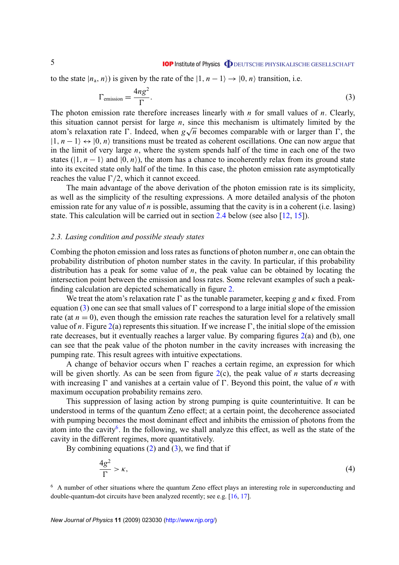<span id="page-4-0"></span>to the state  $|n_a, n\rangle$  is given by the rate of the  $|1, n-1\rangle \rightarrow |0, n\rangle$  transition, i.e.

$$
\Gamma_{\text{emission}} = \frac{4ng^2}{\Gamma}.
$$
\n(3)

The photon emission rate therefore increases linearly with *n* for small values of *n*. Clearly, this situation cannot persist for large  $n$ , since this mechanism is ultimately limited by the atom's relaxation rate  $\Gamma$ . Indeed, when  $g\sqrt{n}$  becomes comparable with or larger than  $\Gamma$ , the  $|1, n-1\rangle \leftrightarrow |0, n\rangle$  transitions must be treated as coherent oscillations. One can now argue that in the limit of very large *n*, where the system spends half of the time in each one of the two states ( $|1, n-1\rangle$ ) and  $|0, n\rangle$ ), the atom has a chance to incoherently relax from its ground state into its excited state only half of the time. In this case, the photon emission rate asymptotically reaches the value  $\Gamma/2$ , which it cannot exceed.

The main advantage of the above derivation of the photon emission rate is its simplicity, as well as the simplicity of the resulting expressions. A more detailed analysis of the photon emission rate for any value of *n* is possible, assuming that the cavity is in a coherent (i.e. lasing) state. This calculation will be carried out in section [2.4](#page-6-0) below (see also [\[12,](#page-15-0) [15\]](#page-15-0)).

#### *2.3. Lasing condition and possible steady states*

Combing the photon emission and loss rates as functions of photon number *n*, one can obtain the probability distribution of photon number states in the cavity. In particular, if this probability distribution has a peak for some value of *n*, the peak value can be obtained by locating the intersection point between the emission and loss rates. Some relevant examples of such a peakfinding calculation are depicted schematically in figure [2.](#page-5-0)

We treat the atom's relaxation rate  $\Gamma$  as the tunable parameter, keeping *g* and  $\kappa$  fixed. From equation (3) one can see that small values of  $\Gamma$  correspond to a large initial slope of the emission rate (at  $n = 0$ ), even though the emission rate reaches the saturation level for a relatively small value of *n*. Figure [2\(](#page-5-0)a) represents this situation. If we increase  $\Gamma$ , the initial slope of the emission rate decreases, but it eventually reaches a larger value. By comparing figures [2\(](#page-5-0)a) and (b), one can see that the peak value of the photon number in the cavity increases with increasing the pumping rate. This result agrees with intuitive expectations.

A change of behavior occurs when  $\Gamma$  reaches a certain regime, an expression for which will be given shortly. As can be seen from figure  $2(c)$  $2(c)$ , the peak value of *n* starts decreasing with increasing  $\Gamma$  and vanishes at a certain value of  $\Gamma$ . Beyond this point, the value of *n* with maximum occupation probability remains zero.

This suppression of lasing action by strong pumping is quite counterintuitive. It can be understood in terms of the quantum Zeno effect; at a certain point, the decoherence associated with pumping becomes the most dominant effect and inhibits the emission of photons from the atom into the cavity<sup>6</sup>. In the following, we shall analyze this effect, as well as the state of the cavity in the different regimes, more quantitatively.

By combining equations  $(2)$  and  $(3)$ , we find that if

$$
\frac{4g^2}{\Gamma} > \kappa,\tag{4}
$$

<sup>6</sup> A number of other situations where the quantum Zeno effect plays an interesting role in superconducting and double-quantum-dot circuits have been analyzed recently; see e.g. [\[16,](#page-15-0) [17\]](#page-15-0).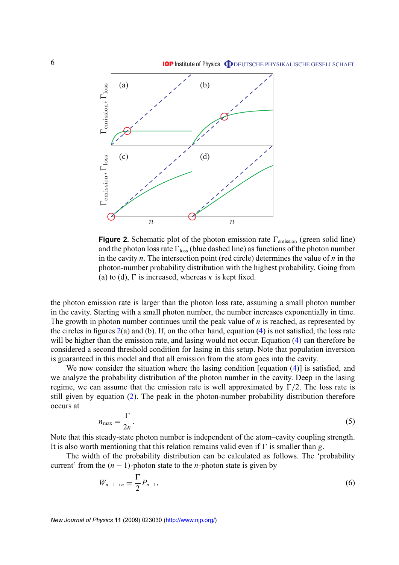<span id="page-5-0"></span>

**Figure 2.** Schematic plot of the photon emission rate  $\Gamma_{\text{emission}}$  (green solid line) and the photon loss rate  $\Gamma_{\text{loss}}$  (blue dashed line) as functions of the photon number in the cavity *n*. The intersection point (red circle) determines the value of *n* in the photon-number probability distribution with the highest probability. Going from (a) to (d),  $\Gamma$  is increased, whereas  $\kappa$  is kept fixed.

the photon emission rate is larger than the photon loss rate, assuming a small photon number in the cavity. Starting with a small photon number, the number increases exponentially in time. The growth in photon number continues until the peak value of *n* is reached, as represented by the circles in figures  $2(a)$  and (b). If, on the other hand, equation [\(4\)](#page-4-0) is not satisfied, the loss rate will be higher than the emission rate, and lasing would not occur. Equation [\(4\)](#page-4-0) can therefore be considered a second threshold condition for lasing in this setup. Note that population inversion is guaranteed in this model and that all emission from the atom goes into the cavity.

We now consider the situation where the lasing condition [equation [\(4\)](#page-4-0)] is satisfied, and we analyze the probability distribution of the photon number in the cavity. Deep in the lasing regime, we can assume that the emission rate is well approximated by  $\Gamma/2$ . The loss rate is still given by equation [\(2\)](#page-3-0). The peak in the photon-number probability distribution therefore occurs at

$$
n_{\text{max}} = \frac{\Gamma}{2\kappa}.\tag{5}
$$

Note that this steady-state photon number is independent of the atom–cavity coupling strength. It is also worth mentioning that this relation remains valid even if  $\Gamma$  is smaller than *g*.

The width of the probability distribution can be calculated as follows. The 'probability current' from the  $(n - 1)$ -photon state to the *n*-photon state is given by

$$
W_{n-1\to n} = \frac{\Gamma}{2} P_{n-1},\tag{6}
$$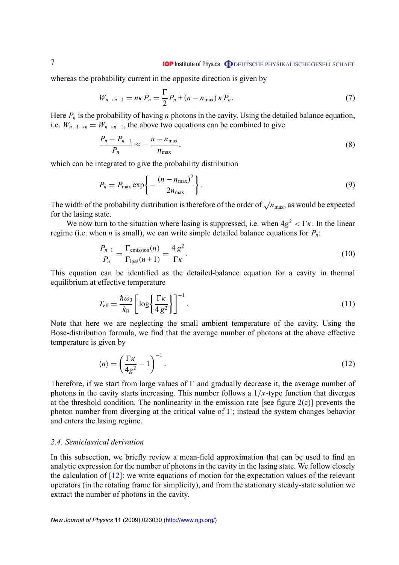<span id="page-6-0"></span>whereas the probability current in the opposite direction is given by

$$
W_{n \to n-1} = n\kappa P_n = \frac{\Gamma}{2} P_n + (n - n_{\text{max}}) \kappa P_n.
$$
 (7)

Here  $P_n$  is the probability of having *n* photons in the cavity. Using the detailed balance equation, i.e.  $W_{n-1\to n} = W_{n\to n-1}$ , the above two equations can be combined to give

$$
\frac{P_n - P_{n-1}}{P_n} \approx -\frac{n - n_{\text{max}}}{n_{\text{max}}},\tag{8}
$$

which can be integrated to give the probability distribution

$$
P_n = P_{\text{max}} \exp\left\{-\frac{(n - n_{\text{max}})^2}{2n_{\text{max}}}\right\}.
$$
\n(9)

The width of the probability distribution is therefore of the order of  $\sqrt{n_{\text{max}}}$ , as would be expected for the lasing state.

We now turn to the situation where lasing is suppressed, i.e. when  $4g^2 < \Gamma \kappa$ . In the linear regime (i.e. when *n* is small), we can write simple detailed balance equations for  $P_n$ :

$$
\frac{P_{n+1}}{P_n} = \frac{\Gamma_{\text{emission}}(n)}{\Gamma_{\text{loss}}(n+1)} = \frac{4 g^2}{\Gamma \kappa}.
$$
\n(10)

This equation can be identified as the detailed-balance equation for a cavity in thermal equilibrium at effective temperature

$$
T_{\text{eff}} = \frac{\hbar \omega_0}{k_B} \left[ \log \left\{ \frac{\Gamma \kappa}{4 g^2} \right\} \right]^{-1}.
$$
 (11)

Note that here we are neglecting the small ambient temperature of the cavity. Using the Bose-distribution formula, we find that the average number of photons at the above effective temperature is given by

$$
\langle n \rangle = \left(\frac{\Gamma \kappa}{4g^2} - 1\right)^{-1}.\tag{12}
$$

Therefore, if we start from large values of  $\Gamma$  and gradually decrease it, the average number of photons in the cavity starts increasing. This number follows a  $1/x$ -type function that diverges at the threshold condition. The nonlinearity in the emission rate [see figure  $2(c)$  $2(c)$ ] prevents the photon number from diverging at the critical value of  $\Gamma$ ; instead the system changes behavior and enters the lasing regime.

## *2.4. Semiclassical derivation*

In this subsection, we briefly review a mean-field approximation that can be used to find an analytic expression for the number of photons in the cavity in the lasing state. We follow closely the calculation of [\[12\]](#page-15-0): we write equations of motion for the expectation values of the relevant operators (in the rotating frame for simplicity), and from the stationary steady-state solution we extract the number of photons in the cavity.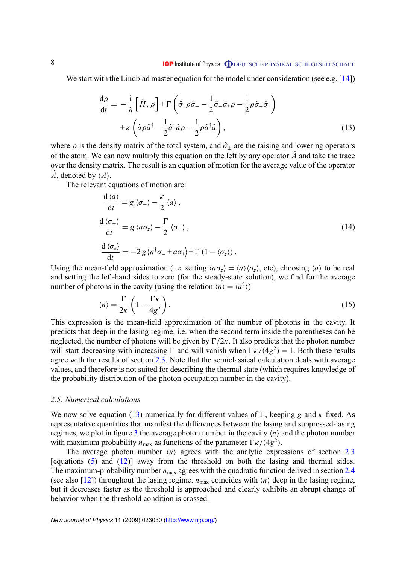#### **IOP** Institute of Physics **ODEUTSCHE PHYSIKALISCHE GESELLSCHAFT**

<span id="page-7-0"></span>We start with the Lindblad master equation for the model under consideration (see e.g.  $[14]$ )

$$
\frac{d\rho}{dt} = -\frac{i}{\hbar} \left[ \hat{H}, \rho \right] + \Gamma \left( \hat{\sigma}_+ \rho \hat{\sigma}_- - \frac{1}{2} \hat{\sigma}_- \hat{\sigma}_+ \rho - \frac{1}{2} \rho \hat{\sigma}_- \hat{\sigma}_+ \right) \n+ \kappa \left( \hat{a} \rho \hat{a}^\dagger - \frac{1}{2} \hat{a}^\dagger \hat{a} \rho - \frac{1}{2} \rho \hat{a}^\dagger \hat{a} \right),
$$
\n(13)

where  $\rho$  is the density matrix of the total system, and  $\hat{\sigma}_{\pm}$  are the raising and lowering operators of the atom. We can now multiply this equation on the left by any operator  $\hat{A}$  and take the trace over the density matrix. The result is an equation of motion for the average value of the operator  $\hat{A}$ , denoted by  $\langle A \rangle$ .

The relevant equations of motion are:

$$
\frac{d \langle a \rangle}{dt} = g \langle \sigma_{-} \rangle - \frac{\kappa}{2} \langle a \rangle,
$$
\n
$$
\frac{d \langle \sigma_{-} \rangle}{dt} = g \langle a \sigma_{z} \rangle - \frac{\Gamma}{2} \langle \sigma_{-} \rangle,
$$
\n
$$
\frac{d \langle \sigma_{z} \rangle}{dt} = -2 g \langle a^{\dagger} \sigma_{-} + a \sigma_{+} \rangle + \Gamma (1 - \langle \sigma_{z} \rangle).
$$
\n(14)

Using the mean-field approximation (i.e. setting  $\langle a\sigma_z \rangle = \langle a \rangle \langle \sigma_z \rangle$ , etc), choosing  $\langle a \rangle$  to be real and setting the left-hand sides to zero (for the steady-state solution), we find for the average number of photons in the cavity (using the relation  $\langle n \rangle = \langle a^2 \rangle$ )

$$
\langle n \rangle = \frac{\Gamma}{2\kappa} \left( 1 - \frac{\Gamma \kappa}{4g^2} \right). \tag{15}
$$

This expression is the mean-field approximation of the number of photons in the cavity. It predicts that deep in the lasing regime, i.e. when the second term inside the parentheses can be neglected, the number of photons will be given by  $\Gamma/2\kappa$ . It also predicts that the photon number will start decreasing with increasing  $\Gamma$  and will vanish when  $\Gamma \kappa/(4g^2) = 1$ . Both these results agree with the results of section [2.3.](#page-4-0) Note that the semiclassical calculation deals with average values, and therefore is not suited for describing the thermal state (which requires knowledge of the probability distribution of the photon occupation number in the cavity).

# *2.5. Numerical calculations*

We now solve equation (13) numerically for different values of  $\Gamma$ , keeping *g* and  $\kappa$  fixed. As representative quantities that manifest the differences between the lasing and suppressed-lasing regimes, we plot in figure [3](#page-8-0) the average photon number in the cavity  $\langle n \rangle$  and the photon number with maximum probability  $n_{\text{max}}$  as functions of the parameter  $\Gamma \kappa/(4g^2)$ .

The average photon number  $\langle n \rangle$  agrees with the analytic expressions of section [2.3](#page-4-0) [equations  $(5)$  and  $(12)$ ] away from the threshold on both the lasing and thermal sides. The maximum-probability number  $n_{\text{max}}$  agrees with the quadratic function derived in section [2.4](#page-6-0) (see also [\[12\]](#page-15-0)) throughout the lasing regime.  $n_{\text{max}}$  coincides with  $\langle n \rangle$  deep in the lasing regime, but it decreases faster as the threshold is approached and clearly exhibits an abrupt change of behavior when the threshold condition is crossed.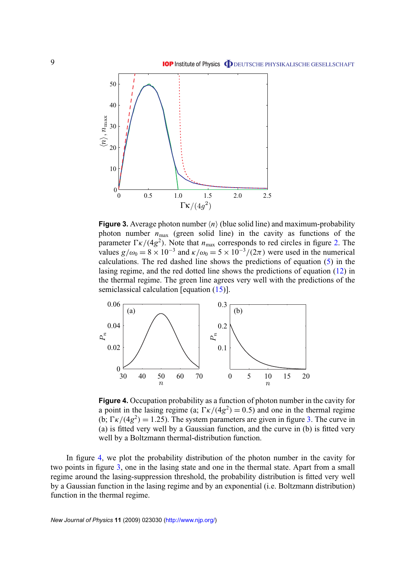<span id="page-8-0"></span>

**Figure 3.** Average photon number  $\langle n \rangle$  (blue solid line) and maximum-probability photon number  $n_{\text{max}}$  (green solid line) in the cavity as functions of the parameter  $\Gamma \kappa/(4g^2)$ . Note that  $n_{\text{max}}$  corresponds to red circles in figure [2.](#page-5-0) The values  $g/\omega_0 = 8 \times 10^{-3}$  and  $\kappa/\omega_0 = 5 \times 10^{-3}/(2\pi)$  were used in the numerical calculations. The red dashed line shows the predictions of equation [\(5\)](#page-5-0) in the lasing regime, and the red dotted line shows the predictions of equation [\(12\)](#page-6-0) in the thermal regime. The green line agrees very well with the predictions of the semiclassical calculation [equation [\(15\)](#page-7-0)].



**Figure 4.** Occupation probability as a function of photon number in the cavity for a point in the lasing regime (a;  $\Gamma \kappa/(4g^2) = 0.5$ ) and one in the thermal regime (b;  $\Gamma \kappa/(4g^2) = 1.25$ ). The system parameters are given in figure 3. The curve in (a) is fitted very well by a Gaussian function, and the curve in (b) is fitted very well by a Boltzmann thermal-distribution function.

In figure 4, we plot the probability distribution of the photon number in the cavity for two points in figure 3, one in the lasing state and one in the thermal state. Apart from a small regime around the lasing-suppression threshold, the probability distribution is fitted very well by a Gaussian function in the lasing regime and by an exponential (i.e. Boltzmann distribution) function in the thermal regime.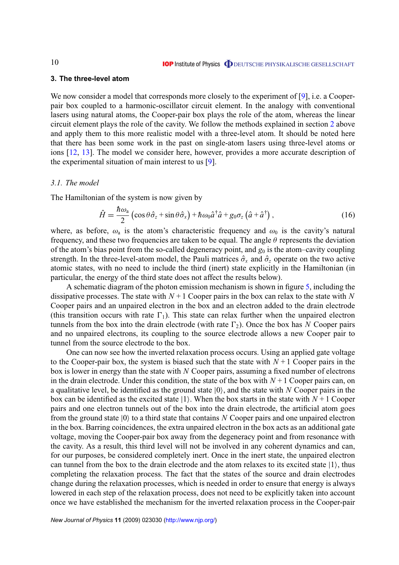## <span id="page-9-0"></span>**3. The three-level atom**

We now consider a model that corresponds more closely to the experiment of [\[9\]](#page-15-0), i.e. a Cooperpair box coupled to a harmonic-oscillator circuit element. In the analogy with conventional lasers using natural atoms, the Cooper-pair box plays the role of the atom, whereas the linear circuit element plays the role of the cavity. We follow the methods explained in section [2](#page-2-0) above and apply them to this more realistic model with a three-level atom. It should be noted here that there has been some work in the past on single-atom lasers using three-level atoms or ions [\[12,](#page-15-0) [13\]](#page-15-0). The model we consider here, however, provides a more accurate description of the experimental situation of main interest to us [\[9\]](#page-15-0).

#### *3.1. The model*

The Hamiltonian of the system is now given by

$$
\hat{H} = \frac{\hbar \omega_a}{2} \left( \cos \theta \hat{\sigma}_z + \sin \theta \hat{\sigma}_x \right) + \hbar \omega_0 \hat{a}^\dagger \hat{a} + g_0 \sigma_z \left( \hat{a} + \hat{a}^\dagger \right), \tag{16}
$$

where, as before,  $\omega_a$  is the atom's characteristic frequency and  $\omega_0$  is the cavity's natural frequency, and these two frequencies are taken to be equal. The angle  $\theta$  represents the deviation of the atom's bias point from the so-called degeneracy point, and  $g_0$  is the atom–cavity coupling strength. In the three-level-atom model, the Pauli matrices  $\hat{\sigma}_x$  and  $\hat{\sigma}_z$  operate on the two active atomic states, with no need to include the third (inert) state explicitly in the Hamiltonian (in particular, the energy of the third state does not affect the results below).

A schematic diagram of the photon emission mechanism is shown in figure [5,](#page-10-0) including the dissipative processes. The state with  $N+1$  Cooper pairs in the box can relax to the state with  $N$ Cooper pairs and an unpaired electron in the box and an electron added to the drain electrode (this transition occurs with rate  $\Gamma_1$ ). This state can relax further when the unpaired electron tunnels from the box into the drain electrode (with rate  $\Gamma_2$ ). Once the box has *N* Cooper pairs and no unpaired electrons, its coupling to the source electrode allows a new Cooper pair to tunnel from the source electrode to the box.

One can now see how the inverted relaxation process occurs. Using an applied gate voltage to the Cooper-pair box, the system is biased such that the state with  $N+1$  Cooper pairs in the box is lower in energy than the state with *N* Cooper pairs, assuming a fixed number of electrons in the drain electrode. Under this condition, the state of the box with  $N+1$  Cooper pairs can, on a qualitative level, be identified as the ground state  $|0\rangle$ , and the state with *N* Cooper pairs in the box can be identified as the excited state  $|1\rangle$ . When the box starts in the state with  $N + 1$  Cooper pairs and one electron tunnels out of the box into the drain electrode, the artificial atom goes from the ground state  $|0\rangle$  to a third state that contains *N* Cooper pairs and one unpaired electron in the box. Barring coincidences, the extra unpaired electron in the box acts as an additional gate voltage, moving the Cooper-pair box away from the degeneracy point and from resonance with the cavity. As a result, this third level will not be involved in any coherent dynamics and can, for our purposes, be considered completely inert. Once in the inert state, the unpaired electron can tunnel from the box to the drain electrode and the atom relaxes to its excited state  $|1\rangle$ , thus completing the relaxation process. The fact that the states of the source and drain electrodes change during the relaxation processes, which is needed in order to ensure that energy is always lowered in each step of the relaxation process, does not need to be explicitly taken into account once we have established the mechanism for the inverted relaxation process in the Cooper-pair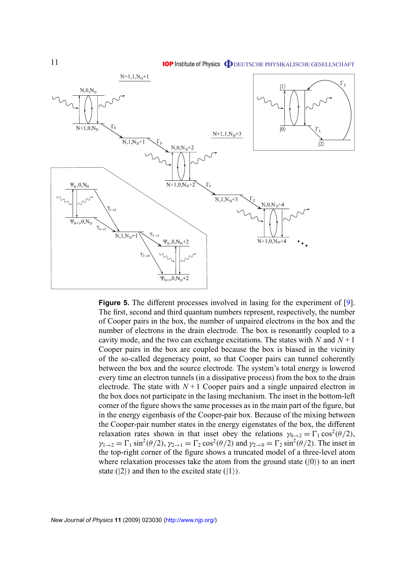<span id="page-10-0"></span>

**Figure 5.** The different processes involved in lasing for the experiment of [\[9\]](#page-15-0). The first, second and third quantum numbers represent, respectively, the number of Cooper pairs in the box, the number of unpaired electrons in the box and the number of electrons in the drain electrode. The box is resonantly coupled to a cavity mode, and the two can exchange excitations. The states with *N* and  $N+1$ Cooper pairs in the box are coupled because the box is biased in the vicinity of the so-called degeneracy point, so that Cooper pairs can tunnel coherently between the box and the source electrode. The system's total energy is lowered every time an electron tunnels (in a dissipative process) from the box to the drain electrode. The state with  $N+1$  Cooper pairs and a single unpaired electron in the box does not participate in the lasing mechanism. The inset in the bottom-left corner of the figure shows the same processes as in the main part of the figure, but in the energy eigenbasis of the Cooper-pair box. Because of the mixing between the Cooper-pair number states in the energy eigenstates of the box, the different relaxation rates shown in that inset obey the relations  $\gamma_{0\to 2} = \Gamma_1 \cos^2(\theta/2)$ ,  $\gamma_{1\to 2} = \Gamma_1 \sin^2(\theta/2), \gamma_{2\to 1} = \Gamma_2 \cos^2(\theta/2)$  and  $\gamma_{2\to 0} = \Gamma_2 \sin^2(\theta/2)$ . The inset in the top-right corner of the figure shows a truncated model of a three-level atom where relaxation processes take the atom from the ground state  $(|0\rangle)$  to an inert state  $(|2\rangle)$  and then to the excited state  $(|1\rangle)$ .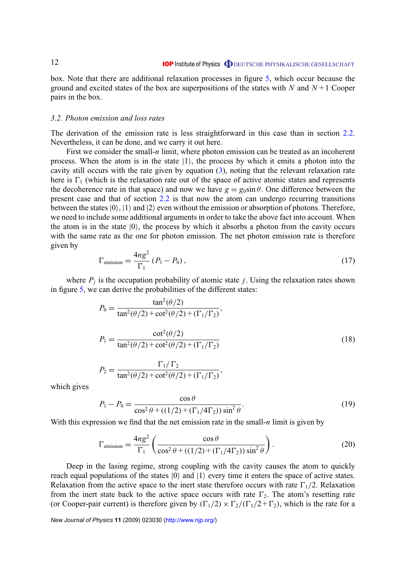<span id="page-11-0"></span>box. Note that there are additional relaxation processes in figure [5,](#page-10-0) which occur because the ground and excited states of the box are superpositions of the states with *N* and  $N + 1$  Cooper pairs in the box.

#### *3.2. Photon emission and loss rates*

The derivation of the emission rate is less straightforward in this case than in section [2.2.](#page-3-0) Nevertheless, it can be done, and we carry it out here.

First we consider the small-*n* limit, where photon emission can be treated as an incoherent process. When the atom is in the state  $|1\rangle$ , the process by which it emits a photon into the cavity still occurs with the rate given by equation  $(3)$ , noting that the relevant relaxation rate here is  $\Gamma_1$  (which is the relaxation rate out of the space of active atomic states and represents the decoherence rate in that space) and now we have  $g = g_0 \sin \theta$ . One difference between the present case and that of section [2.2](#page-3-0) is that now the atom can undergo recurring transitions between the states  $|0\rangle$ ,  $|1\rangle$  and  $|2\rangle$  even without the emission or absorption of photons. Therefore, we need to include some additional arguments in order to take the above fact into account. When the atom is in the state  $|0\rangle$ , the process by which it absorbs a photon from the cavity occurs with the same rate as the one for photon emission. The net photon emission rate is therefore given by

$$
\Gamma_{\text{emission}} = \frac{4ng^2}{\Gamma_1} \left( P_1 - P_0 \right),\tag{17}
$$

where  $P_j$  is the occupation probability of atomic state *j*. Using the relaxation rates shown in figure [5,](#page-10-0) we can derive the probabilities of the different states:

$$
P_0 = \frac{\tan^2(\theta/2)}{\tan^2(\theta/2) + \cot^2(\theta/2) + (\Gamma_1/\Gamma_2)},
$$
  
\n
$$
P_1 = \frac{\cot^2(\theta/2)}{\tan^2(\theta/2) + \cot^2(\theta/2) + (\Gamma_1/\Gamma_2)}
$$
  
\n
$$
P_2 = \frac{\Gamma_1/\Gamma_2}{\tan^2(\theta/2) + \cot^2(\theta/2) + (\Gamma_1/\Gamma_2)},
$$
\n(18)

which gives

$$
P_1 - P_0 = \frac{\cos \theta}{\cos^2 \theta + ((1/2) + (\Gamma_1/4\Gamma_2))\sin^2 \theta}.
$$
 (19)

With this expression we find that the net emission rate in the small-*n* limit is given by

$$
\Gamma_{\text{emission}} = \frac{4ng^2}{\Gamma_1} \left( \frac{\cos \theta}{\cos^2 \theta + ((1/2) + (\Gamma_1/4\Gamma_2)) \sin^2 \theta} \right). \tag{20}
$$

Deep in the lasing regime, strong coupling with the cavity causes the atom to quickly reach equal populations of the states  $|0\rangle$  and  $|1\rangle$  every time it enters the space of active states. Relaxation from the active space to the inert state therefore occurs with rate  $\Gamma_1/2$ . Relaxation from the inert state back to the active space occurs with rate  $\Gamma_2$ . The atom's resetting rate (or Cooper-pair current) is therefore given by  $(\Gamma_1/2) \times \Gamma_2/(\Gamma_1/2 + \Gamma_2)$ , which is the rate for a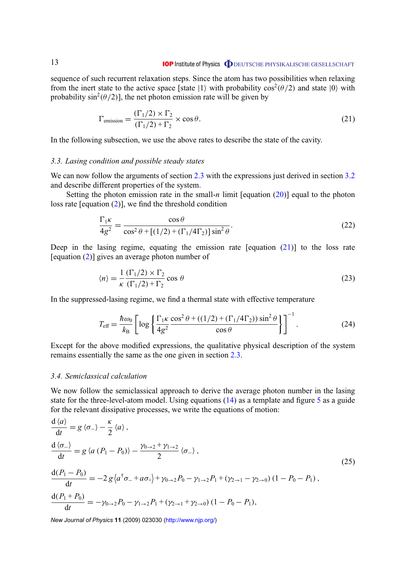<span id="page-12-0"></span>13

sequence of such recurrent relaxation steps. Since the atom has two possibilities when relaxing from the inert state to the active space [state |1) with probability  $\cos^2(\theta/2)$  and state  $|0\rangle$  with probability  $\sin^2(\theta/2)$ , the net photon emission rate will be given by

$$
\Gamma_{\text{emission}} = \frac{(\Gamma_1/2) \times \Gamma_2}{(\Gamma_1/2) + \Gamma_2} \times \cos \theta.
$$
\n(21)

In the following subsection, we use the above rates to describe the state of the cavity.

#### *3.3. Lasing condition and possible steady states*

We can now follow the arguments of section [2.3](#page-4-0) with the expressions just derived in section [3.2](#page-11-0) and describe different properties of the system.

Setting the photon emission rate in the small-*n* limit [equation  $(20)$ ] equal to the photon loss rate [equation [\(2\)](#page-3-0)], we find the threshold condition

$$
\frac{\Gamma_1 \kappa}{4g^2} = \frac{\cos \theta}{\cos^2 \theta + [(1/2) + (\Gamma_1/4\Gamma_2)]\sin^2 \theta}.
$$
\n(22)

Deep in the lasing regime, equating the emission rate  $[equation (21)]$  to the loss rate [equation [\(2\)](#page-3-0)] gives an average photon number of

$$
\langle n \rangle = \frac{1}{\kappa} \frac{\left(\Gamma_1/2\right) \times \Gamma_2}{\left(\Gamma_1/2\right) + \Gamma_2} \cos \theta \tag{23}
$$

In the suppressed-lasing regime, we find a thermal state with effective temperature

$$
T_{\rm eff} = \frac{\hbar \omega_0}{k_B} \left[ \log \left\{ \frac{\Gamma_1 \kappa}{4g^2} \frac{\cos^2 \theta + ((1/2) + (\Gamma_1/4\Gamma_2)) \sin^2 \theta}{\cos \theta} \right\} \right]^{-1}.
$$
 (24)

Except for the above modified expressions, the qualitative physical description of the system remains essentially the same as the one given in section [2.3.](#page-4-0)

## *3.4. Semiclassical calculation*

We now follow the semiclassical approach to derive the average photon number in the lasing state for the three-level-atom model. Using equations  $(14)$  as a template and figure [5](#page-10-0) as a guide for the relevant dissipative processes, we write the equations of motion:

$$
\frac{d \langle a \rangle}{dt} = g \langle \sigma_{-} \rangle - \frac{\kappa}{2} \langle a \rangle ,
$$
\n
$$
\frac{d \langle \sigma_{-} \rangle}{dt} = g \langle a (P_{1} - P_{0}) \rangle - \frac{\gamma_{0 \to 2} + \gamma_{1 \to 2}}{2} \langle \sigma_{-} \rangle ,
$$
\n
$$
\frac{d(P_{1} - P_{0})}{dt} = -2 g \langle a^{\dagger} \sigma_{-} + a \sigma_{+} \rangle + \gamma_{0 \to 2} P_{0} - \gamma_{1 \to 2} P_{1} + (\gamma_{2 \to 1} - \gamma_{2 \to 0}) (1 - P_{0} - P_{1}),
$$
\n
$$
\frac{d(P_{1} + P_{0})}{dt} = -\gamma_{0 \to 2} P_{0} - \gamma_{1 \to 2} P_{1} + (\gamma_{2 \to 1} + \gamma_{2 \to 0}) (1 - P_{0} - P_{1}),
$$
\n(25)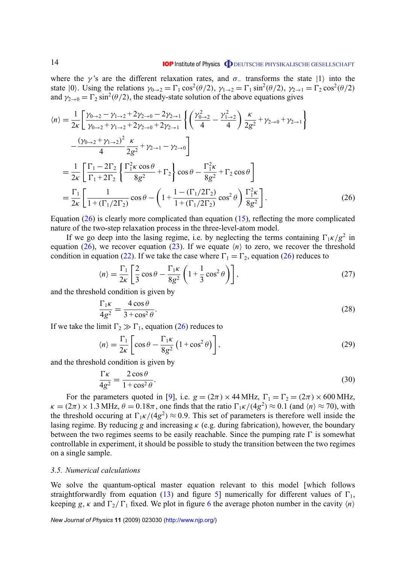#### **IOP** Institute of Physics **ODEUTSCHE PHYSIKALISCHE GESELLSCHAFT**

<span id="page-13-0"></span>where the γ's are the different relaxation rates, and  $\sigma$  transforms the state |1} into the state  $|0\rangle$ . Using the relations  $\gamma_{0\to 2} = \Gamma_1 \cos^2(\theta/2)$ ,  $\gamma_{1\to 2} = \Gamma_1 \sin^2(\theta/2)$ ,  $\gamma_{2\to 1} = \Gamma_2 \cos^2(\theta/2)$ and  $\gamma_{2\to 0} = \Gamma_2 \sin^2(\theta/2)$ , the steady-state solution of the above equations gives

$$
\langle n \rangle = \frac{1}{2\kappa} \left[ \frac{\gamma_{0\to 2} - \gamma_{1\to 2} + 2\gamma_{2\to 0} - 2\gamma_{2\to 1}}{\gamma_{0\to 2} + \gamma_{1\to 2} + 2\gamma_{2\to 0} + 2\gamma_{2\to 1}} \left\{ \left( \frac{\gamma_{0\to 2}^2}{4} - \frac{\gamma_{1\to 2}^2}{4} \right) \frac{\kappa}{2g^2} + \gamma_{2\to 0} + \gamma_{2\to 1} \right\} -\frac{(\gamma_{0\to 2} + \gamma_{1\to 2})^2}{4} \frac{\kappa}{2g^2} + \gamma_{2\to 1} - \gamma_{2\to 0} = \frac{1}{2\kappa} \left[ \frac{\Gamma_1 - 2\Gamma_2}{\Gamma_1 + 2\Gamma_2} \left\{ \frac{\Gamma_1^2 \kappa \cos \theta}{8g^2} + \Gamma_2 \right\} \cos \theta - \frac{\Gamma_1^2 \kappa}{8g^2} + \Gamma_2 \cos \theta \right] = \frac{\Gamma_1}{2\kappa} \left[ \frac{1}{1 + (\Gamma_1/2\Gamma_2)} \cos \theta - \left( 1 + \frac{1 - (\Gamma_1/2\Gamma_2)}{1 + (\Gamma_1/2\Gamma_2)} \cos^2 \theta \right) \frac{\Gamma_1^2 \kappa}{8g^2} \right].
$$
 (26)

Equation  $(26)$  is clearly more complicated than equation  $(15)$ , reflecting the more complicated nature of the two-step relaxation process in the three-level-atom model.

If we go deep into the lasing regime, i.e. by neglecting the terms containing  $\Gamma_1 \kappa / g^2$  in equation (26), we recover equation [\(23\)](#page-12-0). If we equate  $\langle n \rangle$  to zero, we recover the threshold condition in equation [\(22\)](#page-12-0). If we take the case where  $\Gamma_1 = \Gamma_2$ , equation (26) reduces to

$$
\langle n \rangle = \frac{\Gamma_1}{2\kappa} \left[ \frac{2}{3} \cos \theta - \frac{\Gamma_1 \kappa}{8g^2} \left( 1 + \frac{1}{3} \cos^2 \theta \right) \right],\tag{27}
$$

and the threshold condition is given by

$$
\frac{\Gamma_1 \kappa}{4g^2} = \frac{4\cos\theta}{3 + \cos^2\theta}.
$$
\n(28)

If we take the limit  $\Gamma_2 \gg \Gamma_1$ , equation (26) reduces to

$$
\langle n \rangle = \frac{\Gamma_1}{2\kappa} \left[ \cos \theta - \frac{\Gamma_1 \kappa}{8g^2} \left( 1 + \cos^2 \theta \right) \right],\tag{29}
$$

and the threshold condition is given by

$$
\frac{\Gamma \kappa}{4g^2} = \frac{2\cos\theta}{1 + \cos^2\theta}.
$$
\n(30)

For the parameters quoted in [\[9\]](#page-15-0), i.e.  $g = (2\pi) \times 44 \text{ MHz}$ ,  $\Gamma_1 = \Gamma_2 = (2\pi) \times 600 \text{ MHz}$ ,  $\kappa = (2\pi) \times 1.3$  MHz,  $\theta = 0.18\pi$ , one finds that the ratio  $\Gamma_1 \kappa/(4g^2) \approx 0.1$  (and  $\langle n \rangle \approx 70$ ), with the threshold occuring at  $\Gamma_1 \kappa/(4g^2) \approx 0.9$ . This set of parameters is therefore well inside the lasing regime. By reducing *g* and increasing κ (e.g. during fabrication), however, the boundary between the two regimes seems to be easily reachable. Since the pumping rate  $\Gamma$  is somewhat controllable in experiment, it should be possible to study the transition between the two regimes on a single sample.

## *3.5. Numerical calculations*

We solve the quantum-optical master equation relevant to this model [which follows straightforwardly from equation [\(13\)](#page-7-0) and figure [5\]](#page-10-0) numerically for different values of  $\Gamma_1$ , keeping *g*,  $\kappa$  and  $\Gamma_2/\Gamma_1$  fixed. We plot in figure [6](#page-14-0) the average photon number in the cavity  $\langle n \rangle$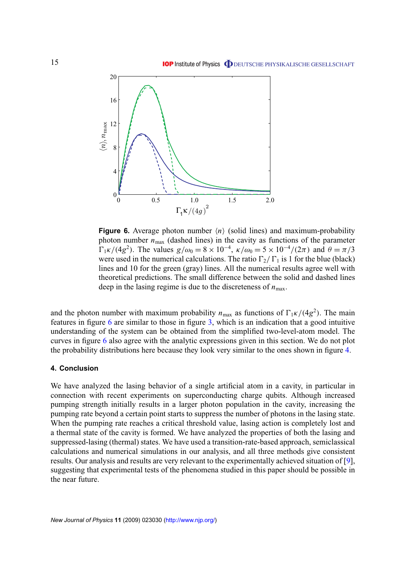<span id="page-14-0"></span>

**Figure 6.** Average photon number  $\langle n \rangle$  (solid lines) and maximum-probability photon number  $n_{\text{max}}$  (dashed lines) in the cavity as functions of the parameter  $\Gamma_1 \kappa/(4g^2)$ . The values  $g/\omega_0 = 8 \times 10^{-4}$ ,  $\kappa/\omega_0 = 5 \times 10^{-4}/(2\pi)$  and  $\theta = \pi/3$ were used in the numerical calculations. The ratio  $\Gamma_2/\Gamma_1$  is 1 for the blue (black) lines and 10 for the green (gray) lines. All the numerical results agree well with theoretical predictions. The small difference between the solid and dashed lines deep in the lasing regime is due to the discreteness of  $n_{\text{max}}$ .

and the photon number with maximum probability  $n_{\text{max}}$  as functions of  $\Gamma_1 \kappa/(4g^2)$ . The main features in figure 6 are similar to those in figure [3,](#page-8-0) which is an indication that a good intuitive understanding of the system can be obtained from the simplified two-level-atom model. The curves in figure 6 also agree with the analytic expressions given in this section. We do not plot the probability distributions here because they look very similar to the ones shown in figure [4.](#page-8-0)

## **4. Conclusion**

We have analyzed the lasing behavior of a single artificial atom in a cavity, in particular in connection with recent experiments on superconducting charge qubits. Although increased pumping strength initially results in a larger photon population in the cavity, increasing the pumping rate beyond a certain point starts to suppress the number of photons in the lasing state. When the pumping rate reaches a critical threshold value, lasing action is completely lost and a thermal state of the cavity is formed. We have analyzed the properties of both the lasing and suppressed-lasing (thermal) states. We have used a transition-rate-based approach, semiclassical calculations and numerical simulations in our analysis, and all three methods give consistent results. Our analysis and results are very relevant to the experimentally achieved situation of [\[9\]](#page-15-0), suggesting that experimental tests of the phenomena studied in this paper should be possible in the near future.